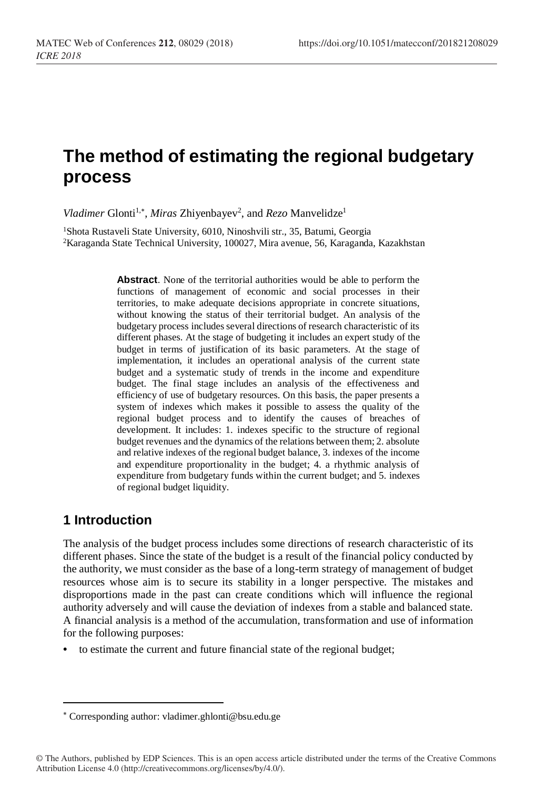# **The method of estimating the regional budgetary process**

Vladimer Glonti<sup>1,\*</sup>, Miras Zhiyenbayev<sup>2</sup>, and *Rezo* Manvelidze<sup>1</sup>

<sup>1</sup>Shota Rustaveli State University, 6010, Ninoshvili str., 35, Batumi. Georgia <sup>2</sup>Karaganda State Technical University, 100027, Mira avenue, 56, Karaganda, Kazakhstan

> **Abstract**. None of the territorial authorities would be able to perform the functions of management of economic and social processes in their territories, to make adequate decisions appropriate in concrete situations, without knowing the status of their territorial budget. An analysis of the budgetary process includes several directions of research characteristic of its different phases. At the stage of budgeting it includes an expert study of the budget in terms of justification of its basic parameters. At the stage of implementation, it includes an operational analysis of the current state budget and a systematic study of trends in the income and expenditure budget. The final stage includes an analysis of the effectiveness and efficiency of use of budgetary resources. On this basis, the paper presents a system of indexes which makes it possible to assess the quality of the regional budget process and to identify the causes of breaches of development. It includes: 1. indexes specific to the structure of regional budget revenues and the dynamics of the relations between them; 2. absolute and relative indexes of the regional budget balance, 3. indexes of the income and expenditure proportionality in the budget; 4. a rhythmic analysis of expenditure from budgetary funds within the current budget; and 5. indexes of regional budget liquidity.

## **1 Introduction**

l

The analysis of the budget process includes some directions of research characteristic of its different phases. Since the state of the budget is a result of the financial policy conducted by the authority, we must consider as the base of a long-term strategy of management of budget resources whose aim is to secure its stability in a longer perspective. The mistakes and disproportions made in the past can create conditions which will influence the regional authority adversely and will cause the deviation of indexes from a stable and balanced state. A financial analysis is a method of the accumulation, transformation and use of information for the following purposes:

**•** to estimate the current and future financial state of the regional budget;

Corresponding author: vladimer.ghlonti@bsu.edu.ge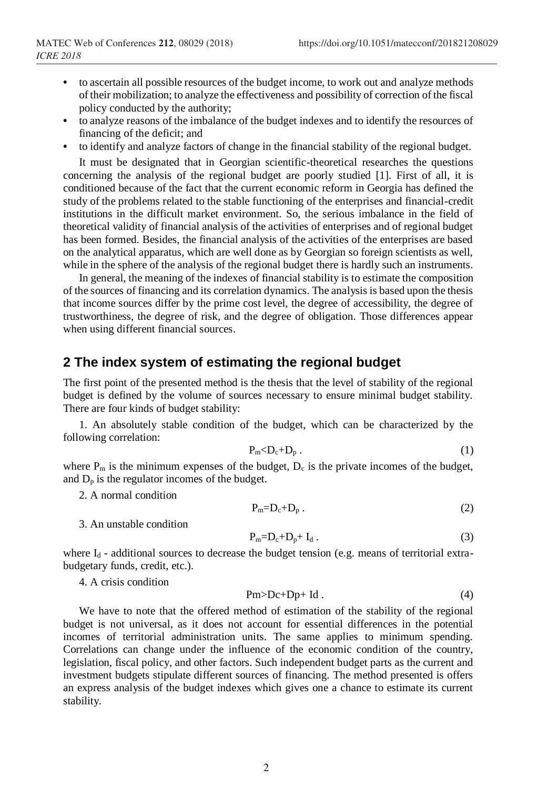- **•** to ascertain all possible resources of the budget income, to work out and analyze methods of their mobilization; to analyze the effectiveness and possibility of correction of the fiscal policy conducted by the authority;
- **•** to analyze reasons of the imbalance of the budget indexes and to identify the resources of financing of the deficit; and
- **•** to identify and analyze factors of change in the financial stability of the regional budget.

It must be designated that in Georgian scientific-theoretical researches the questions concerning the analysis of the regional budget are poorly studied [1]. First of all, it is conditioned because of the fact that the current economic reform in Georgia has defined the study of the problems related to the stable functioning of the enterprises and financial-credit institutions in the difficult market environment. So, the serious imbalance in the field of theoretical validity of financial analysis of the activities of enterprises and of regional budget has been formed. Besides, the financial analysis of the activities of the enterprises are based on the analytical apparatus, which are well done as by Georgian so foreign scientists as well, while in the sphere of the analysis of the regional budget there is hardly such an instruments.

In general, the meaning of the indexes of financial stability is to estimate the composition of the sources of financing and its correlation dynamics. The analysis is based upon the thesis that income sources differ by the prime cost level, the degree of accessibility, the degree of trustworthiness, the degree of risk, and the degree of obligation. Those differences appear when using different financial sources.

#### **2 The index system of estimating the regional budget**

The first point of the presented method is the thesis that the level of stability of the regional budget is defined by the volume of sources necessary to ensure minimal budget stability. There are four kinds of budget stability:

1. An absolutely stable condition of the budget, which can be characterized by the following correlation:

$$
P_m < D_c + D_p \tag{1}
$$

where  $P_m$  is the minimum expenses of the budget,  $D_c$  is the private incomes of the budget, and  $D_p$  is the regulator incomes of the budget.

2. A normal condition

$$
P_m=D_c+D_p.
$$
 (2)

3. An unstable condition

$$
P_m = D_c + D_p + I_d. \tag{3}
$$

where  $I_d$  - additional sources to decrease the budget tension (e.g. means of territorial extrabudgetary funds, credit, etc.).

4. A crisis condition

$$
Pm>Dc+Dp+Id. \t\t(4)
$$

We have to note that the offered method of estimation of the stability of the regional budget is not universal, as it does not account for essential differences in the potential incomes of territorial administration units. The same applies to minimum spending. Correlations can change under the influence of the economic condition of the country, legislation, fiscal policy, and other factors. Such independent budget parts as the current and investment budgets stipulate different sources of financing. The method presented is offers an express analysis of the budget indexes which gives one a chance to estimate its current stability.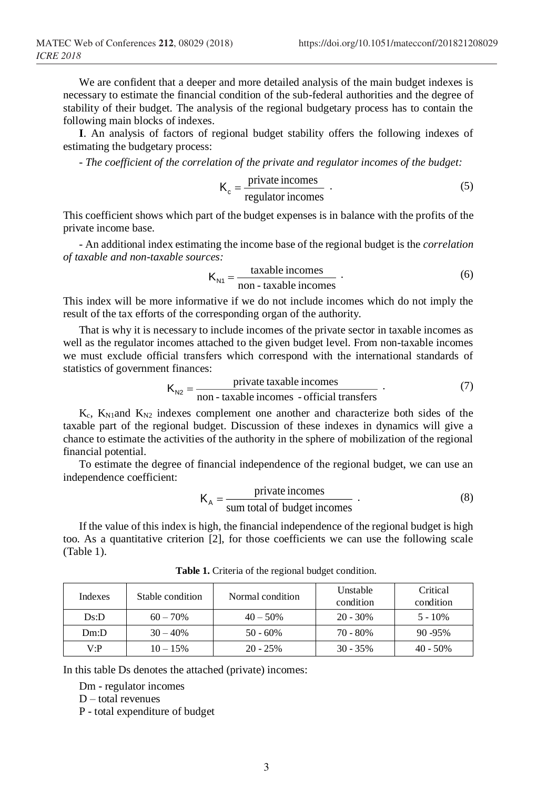We are confident that a deeper and more detailed analysis of the main budget indexes is necessary to estimate the financial condition of the sub-federal authorities and the degree of stability of their budget. The analysis of the regional budgetary process has to contain the following main blocks of indexes.

**I**. An analysis of factors of regional budget stability offers the following indexes of estimating the budgetary process:

- *The coefficient of the correlation of the private and regulator incomes of the budget:*

$$
K_c = \frac{\text{private incomes}}{\text{regularto incomes}} \tag{5}
$$

This coefficient shows which part of the budget expenses is in balance with the profits of the private income base.

- An additional index estimating the income base of the regional budget is the *correlation of taxable and non-taxable sources:*

$$
K_{N1} = \frac{\text{taxable incomes}}{\text{non -taxable incomes}} \tag{6}
$$

This index will be more informative if we do not include incomes which do not imply the result of the tax efforts of the corresponding organ of the authority.

That is why it is necessary to include incomes of the private sector in taxable incomes as well as the regulator incomes attached to the given budget level. From non-taxable incomes we must exclude official transfers which correspond with the international standards of statistics of government finances:

$$
K_{N2} = \frac{\text{private taxable incomes}}{\text{non - taxable incomes - official transfers}} \tag{7}
$$

 $K_c$ ,  $K_{\text{N1}}$  and  $K_{\text{N2}}$  indexes complement one another and characterize both sides of the taxable part of the regional budget. Discussion of these indexes in dynamics will give a chance to estimate the activities of the authority in the sphere of mobilization of the regional financial potential.

To estimate the degree of financial independence of the regional budget, we can use an independence coefficient:

$$
K_A = \frac{\text{private incomes}}{\text{sum total of budget incomes}} \tag{8}
$$

If the value of this index is high, the financial independence of the regional budget is high too. As a quantitative criterion [2], for those coefficients we can use the following scale (Table 1).

| Indexes | Stable condition | Normal condition | Unstable<br>condition | Critical<br>condition |
|---------|------------------|------------------|-----------------------|-----------------------|
| Ds:D    | $60 - 70\%$      | $40 - 50\%$      | $20 - 30\%$           | $5 - 10\%$            |
| Dm:D    | $30 - 40%$       | $50 - 60\%$      | 70 - 80%              | $90 - 95\%$           |
| V∙P     | $10 - 15\%$      | $20 - 25\%$      | $30 - 35\%$           | $40 - 50\%$           |

**Table 1.** Criteria of the regional budget condition.

In this table Ds denotes the attached (private) incomes:

Dm - regulator incomes

D – total revenues

P - total expenditure of budget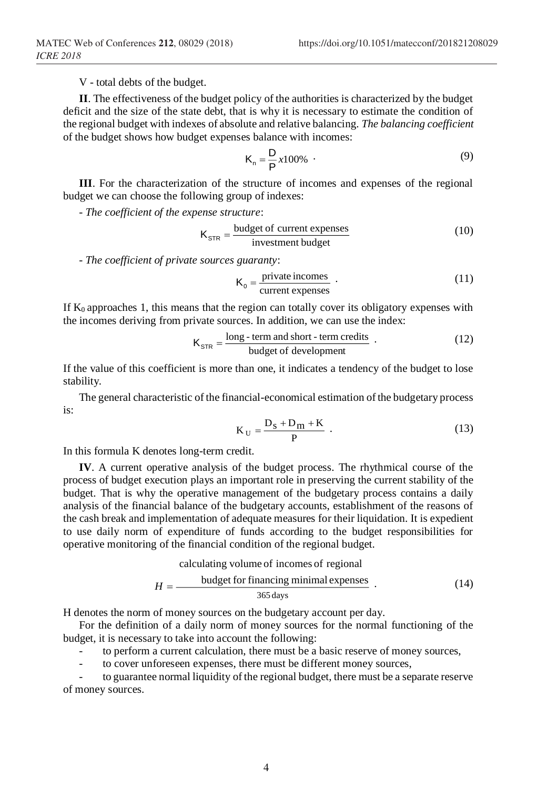V - total debts of the budget.

**II**. The effectiveness of the budget policy of the authorities is characterized by the budget deficit and the size of the state debt, that is why it is necessary to estimate the condition of the regional budget with indexes of absolute and relative balancing. *The balancing coefficient* of the budget shows how budget expenses balance with incomes:

$$
K_n = \frac{D}{P} x 100\% \tag{9}
$$

**III**. For the characterization of the structure of incomes and expenses of the regional budget we can choose the following group of indexes:

- *The coefficient of the expense structure*:

$$
K_{STR} = \frac{\text{budget of current expenses}}{\text{investment budget}} \tag{10}
$$

- *The coefficient of private sources guaranty*:

$$
K_0 = \frac{\text{private incomes}}{\text{current expenses}} \tag{11}
$$

If  $K_0$  approaches 1, this means that the region can totally cover its obligatory expenses with the incomes deriving from private sources. In addition, we can use the index:

$$
K_{STR} = \frac{\text{long-term and short-term credits}}{\text{budget of development}} \tag{12}
$$

If the value of this coefficient is more than one, it indicates a tendency of the budget to lose stability.

The general characteristic of the financial-economical estimation of the budgetary process is:

$$
K_U = \frac{D_S + D_m + K}{P} \tag{13}
$$

In this formula K denotes long-term credit.

**IV**. A current operative analysis of the budget process. The rhythmical course of the process of budget execution plays an important role in preserving the current stability of the budget. That is why the operative management of the budgetary process contains a daily analysis of the financial balance of the budgetary accounts, establishment of the reasons of the cash break and implementation of adequate measures for their liquidation. It is expedient to use daily norm of expenditure of funds according to the budget responsibilities for operative monitoring of the financial condition of the regional budget.

calculating volume of incomes of regional

\n
$$
H = \frac{\text{budget for financing minimal expenses}}{365 \text{ days}} \tag{14}
$$

H denotes the norm of money sources on the budgetary account per day.

For the definition of a daily norm of money sources for the normal functioning of the budget, it is necessary to take into account the following:

to perform a current calculation, there must be a basic reserve of money sources,

to cover unforeseen expenses, there must be different money sources.

to guarantee normal liquidity of the regional budget, there must be a separate reserve of money sources.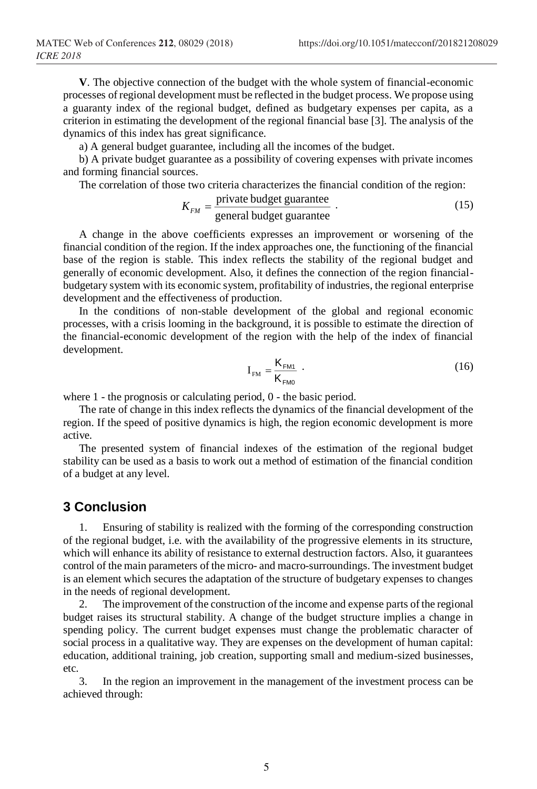**V**. The objective connection of the budget with the whole system of financial-economic processes of regional development must be reflected in the budget process. We propose using a guaranty index of the regional budget, defined as budgetary expenses per capita, as a criterion in estimating the development of the regional financial base [3]. The analysis of the dynamics of this index has great significance.

a) A general budget guarantee, including all the incomes of the budget.

b) A private budget guarantee as a possibility of covering expenses with private incomes and forming financial sources.

The correlation of those two criteria characterizes the financial condition of the region:

$$
K_{FM} = \frac{\text{private budget guarantee}}{\text{general budget guarantee}} \tag{15}
$$

A change in the above coefficients expresses an improvement or worsening of the financial condition of the region. If the index approaches one, the functioning of the financial base of the region is stable. This index reflects the stability of the regional budget and generally of economic development. Also, it defines the connection of the region financialbudgetary system with its economic system, profitability of industries, the regional enterprise development and the effectiveness of production.

In the conditions of non-stable development of the global and regional economic processes, with a crisis looming in the background, it is possible to estimate the direction of the financial-economic development of the region with the help of the index of financial development.

$$
I_{\text{FM}} = \frac{K_{\text{FM1}}}{K_{\text{FM0}}} \tag{16}
$$

where 1 - the prognosis or calculating period, 0 - the basic period.

The rate of change in this index reflects the dynamics of the financial development of the region. If the speed of positive dynamics is high, the region economic development is more active.

The presented system of financial indexes of the estimation of the regional budget stability can be used as a basis to work out a method of estimation of the financial condition of a budget at any level.

### **3 Conclusion**

1. Ensuring of stability is realized with the forming of the corresponding construction of the regional budget, i.e. with the availability of the progressive elements in its structure, which will enhance its ability of resistance to external destruction factors. Also, it guarantees control of the main parameters of the micro- and macro-surroundings. The investment budget is an element which secures the adaptation of the structure of budgetary expenses to changes in the needs of regional development.

2. The improvement of the construction of the income and expense parts of the regional budget raises its structural stability. A change of the budget structure implies a change in spending policy. The current budget expenses must change the problematic character of social process in a qualitative way. They are expenses on the development of human capital: education, additional training, job creation, supporting small and medium-sized businesses, etc.

3. In the region an improvement in the management of the investment process can be achieved through: